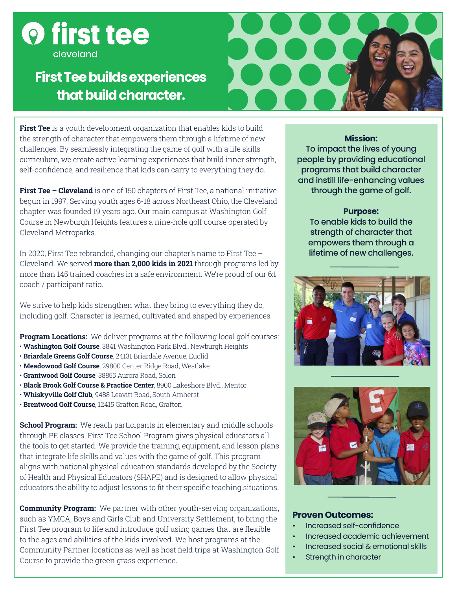

# **First Tee builds experiences that build character.**



**First Tee** is a youth development organization that enables kids to build the strength of character that empowers them through a lifetime of new challenges. By seamlessly integrating the game of golf with a life skills curriculum, we create active learning experiences that build inner strength, self-confidence, and resilience that kids can carry to everything they do.

**First Tee – Cleveland** is one of 150 chapters of First Tee, a national initiative begun in 1997. Serving youth ages 6-18 across Northeast Ohio, the Cleveland chapter was founded 19 years ago. Our main campus at Washington Golf Course in Newburgh Heights features a nine-hole golf course operated by Cleveland Metroparks.

In 2020, First Tee rebranded, changing our chapter's name to First Tee – Cleveland. We served **more than 2,000 kids in 2021** through programs led by more than 145 trained coaches in a safe environment. We're proud of our 6:1 coach / participant ratio.

We strive to help kids strengthen what they bring to everything they do, including golf. Character is learned, cultivated and shaped by experiences.

**Program Locations:** We deliver programs at the following local golf courses:

- **Washington Golf Course**, 3841 Washington Park Blvd., Newburgh Heights
- **Briardale Greens Golf Course**, 24131 Briardale Avenue, Euclid
- **Meadowood Golf Course**, 29800 Center Ridge Road, Westlake
- **Grantwood Golf Course**, 38855 Aurora Road, Solon
- **Black Brook Golf Course & Practice Center**, 8900 Lakeshore Blvd., Mentor
- **Whiskyville Golf Club**, 9488 Leavitt Road, South Amherst
- **Brentwood Golf Course**, 12415 Grafton Road, Grafton

**School Program:** We reach participants in elementary and middle schools through PE classes. First Tee School Program gives physical educators all the tools to get started. We provide the training, equipment, and lesson plans that integrate life skills and values with the game of golf. This program aligns with national physical education standards developed by the Society of Health and Physical Educators (SHAPE) and is designed to allow physical educators the ability to adjust lessons to fit their specific teaching situations.

**Community Program:** We partner with other youth-serving organizations, such as YMCA, Boys and Girls Club and University Settlement, to bring the First Tee program to life and introduce golf using games that are flexible to the ages and abilities of the kids involved. We host programs at the Community Partner locations as well as host field trips at Washington Golf Course to provide the green grass experience.

## **Mission:**

To impact the lives of young people by providing educational programs that build character and instill life-enhancing values through the game of golf.

### **Purpose:**

To enable kids to build the strength of character that empowers them through a lifetime of new challenges.





## **Proven Outcomes:**

- Increased self-confidence
- Increased academic achievement
- Increased social & emotional skills
- Strength in character